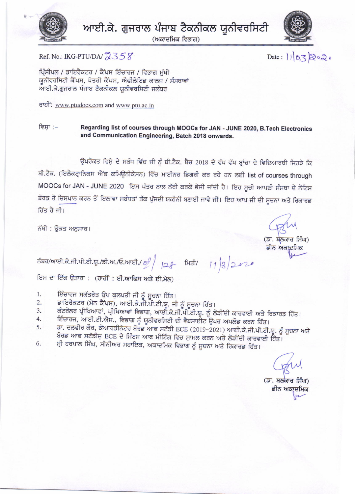



(ਅਕਾਦਮਿਕ ਵਿਭਾਗ)



Ref. No.: IKG-PTU/DA/2358

Date: 11/03/2020

ਪ੍ਰਿੰਸੀਪਲ / ਡਾਇਰੈਕਟਰ / ਕੈਂਪਸ ਇੰਚਾਰਜ / ਵਿਭਾਗ ਮੱਖੀ ਯੂਨੀਵਰਸਿਟੀ ਕੈਂਪਸ, ਖੇਤਰੀ ਕੈਂਪਸ, ਐਫੀਲੇਟਿਡ ਕਾਲਜ / ਸੰਸਥਾਵਾਂ ਆਈ.ਕੇ.ਗੁਜਰਾਲ ਪੰਜਾਬ ਟੈਕਨੀਕਲ ਯੂਨੀਵਰਸਿਟੀ ਜਲੰਧਰ

ਰਾਹੀ: www.ptudocs.com and www.ptu.ac.in

ਵਿਸਾ :– Regarding list of courses through MOOCs for JAN - JUNE 2020, B.Tech Electronics and Communication Engineering, Batch 2018 onwards.

ਉਪਰੋਕਤ ਵਿਸ਼ੇ ਦੇ ਸਬੰਧ ਵਿੱਚ ਜੀ ਨੂੰ ਬੀ.ਟੈਕ. ਬੈਚ 2018 ਦੇ ਵੱਖ ਵੱਖ ਬ੍ਰਾਂਚਾ ਦੇ ਵਿਦਿਆਰਥੀ ਜਿਹੜੇ ਕਿ ਬੀ.ਟੈਕ. (ਇਲੈਕਟ੍ਰਾਨਿਕਸ ਐਂਡ ਕਮਿਊਨੀਕੇਸਨ) ਵਿੱਚ ਮਾਈਨਰ ਡਿਗਰੀ ਕਰ ਰਹੇ ਹਨ ਲਈ list of courses through MOOCs for JAN - JUNE 2020 ਇਸ ਪੱਤਰ ਨਾਲ ਨੱਥੀ ਕਰਕੇ ਭੇਜੀ ਜਾਂਦੀ ਹੈ। ਇਹ ਸੂਚੀ ਆਪਣੀ ਸੰਸਥਾ ਦੇ ਨੋਟਿਸ ਬੋਰਡ ਤੇ ਚਿਸਪਾਨ ਕਰਨ ਤੋਂ ਇਲਾਵਾ ਸਬੰਧਤਾਂ ਤੱਕ ਪੁੱਜਦੀ ਯਕੀਨੀ ਬਣਾਈ ਜਾਵੇ ਜੀ। ਇਹ ਆਪ ਜੀ ਦੀ ਸੂਚਨਾ ਅਤੇ ਰਿਕਾਰਡ ਹਿੱਤ ਹੈ ਜੀ।

ਨੱਥੀ : ੳਕਤ ਅਨਸਾਰ।

(ਡਾ. ਬਲਕਾਰ ਸਿੰਘ) ਡੀਨ ਅਕਾਦਮਿਕ

ਨੰਬਰ/ਆਈ.ਕੇ.ਜੀ.ਪੀ.ਟੀ.ਯੂ./ਡੀ.ਅ./ਓ.ਆਈ./ of | 128 ਮਿਤੀ/ 11 3 2020

ਇਸ ਦਾ ਇੱਕ ਉਤਾਰਾ : (ਰਾਹੀਂ : ਈ.ਆਫਿਸ ਅਤੇ ਈ.ਮੇਲ)

- ਇੰਚਾਰਜ ਸਕੱਤਰੇਤ ਉਪ ਕੁਲਪਤੀ ਜੀ ਨੂੰ ਸੂਚਨਾ ਹਿੱਤ। 1.
- ਡਾਇਰੈਕਟਰ (ਮੇਨ ਕੈਂਪਸ), ਆਈ.ਕੇ.ਜੀ.ਪੀ.ਟੀ.ਯੂ. ਜੀ ਨੂੰ ਸੂਚਨਾ ਹਿੱਤ।  $\overline{2}$ .
- ਕੰਟਰੋਲਰ ਪ੍ਰੀਖਿਆਵਾਂ, ਪ੍ਰੀਖਿਆਵਾਂ ਵਿਭਾਗ, ਆਈ.ਕੇ.ਜੀ.ਪੀ.ਟੀ.ਯੂ. ਨੂੰ ਲੋੜੀਂਦੀ ਕਾਰਵਾਈ ਅਤੇ ਰਿਕਾਰਡ ਹਿੱਤ। 3.
- ਇੰਚਾਰਜ, ਆਈ.ਟੀ.ਐਸ., ਵਿਭਾਗ ਨੂੰ ਯੂਨੀਵਰਸਿਟੀ ਦੀ ਵੈਬਸਾਈਟ ਉਪਰ ਅਪਲੋਡ ਕਰਨ ਹਿੱਤ।  $4.$
- ਡਾ. ਦਲਵੀਰ ਕੌਰ, ਕੋਆਰਡੀਨੇਟਰ ਬੋਰਡ ਆਫ ਸਟੱਡੀ ECE (2019-2021) ਆਈ.ਕੇ.ਜੀ.ਪੀ.ਟੀ.ਯੂ. ਨੂੰ ਸੂਚਨਾ ਅਤੇ 5. ਬੋਰਡ ਆਫ ਸਟੱਡੀਜ਼ ECE ਦੇ ਮਿੰਟਸ ਆਫ ਮੀਟਿੰਗ ਵਿਚ ਸ਼ਾਮਲ ਕਰਨ ਅਤੇ ਲੋੜੀਂਦੀ ਕਾਰਵਾਈ ਹਿੱਤ<sup>ੋਂ</sup>।
- ਸ੍ਰੀ ਹਰਪਾਲ ਸਿੰਘ, ਸੀਨੀਅਰ ਸਹਾਇਕ, ਅਕਾਦਮਿਕ ਵਿਭਾਗ ਨੂੰ ਸੂਚਨਾ ਅਤੇ ਰਿਕਾਰਡ ਹਿੱਤ। 6.

(ਡਾ. ਬਲਕਾਰ ਸਿੰਘ) ਡੀਨ ਅਕਾਦਮਿਕ